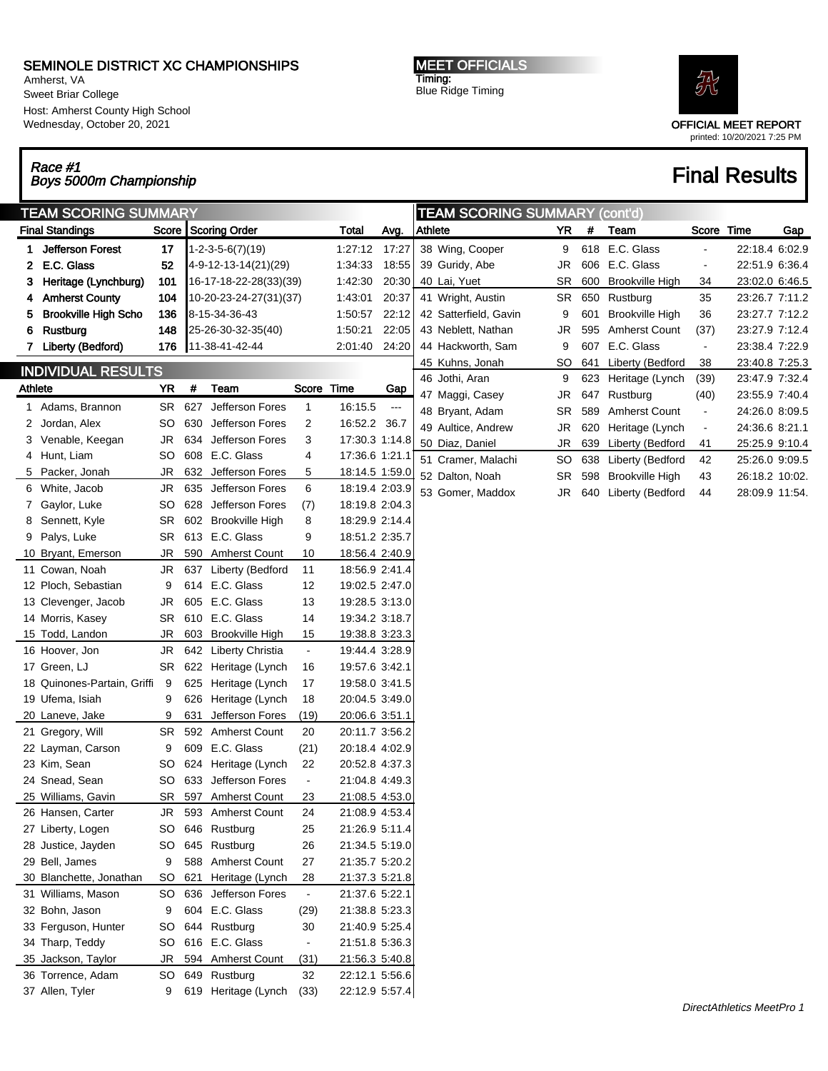## SEMINOLE DISTRICT XC CHAMPIONSHIPS

Amherst, VA Sweet Briar College Host: Amherst County High School Wednesday, October 20, 2021

MEET OFFICIALS Timing: Blue Ridge Timing



OFFICIAL MEET REPORT printed: 10/20/2021 7:25 PM

#### Race #1 Race #1<br>Boys 5000m Championship Final Results

| <b>TEAM SCORING SUMMARY</b>          |                             |           |     |                            | <b>TEAM SCORING SUMMARY (cont'd)</b> |                |                      |                |                       |           |      |                        |                |                |     |
|--------------------------------------|-----------------------------|-----------|-----|----------------------------|--------------------------------------|----------------|----------------------|----------------|-----------------------|-----------|------|------------------------|----------------|----------------|-----|
|                                      | <b>Final Standings</b>      |           |     | Score Scoring Order        |                                      | Total          | Avg.                 | <b>Athlete</b> |                       | <b>YR</b> | $\#$ | Team                   | Score Time     |                | Gap |
| 1.                                   | <b>Jefferson Forest</b>     | 17        |     | $1 - 2 - 3 - 5 - 6(7)(19)$ |                                      | 1:27:12 17:27  |                      |                | 38 Wing, Cooper       | 9         |      | 618 E.C. Glass         |                | 22:18.4 6:02.9 |     |
| 2                                    | E.C. Glass                  | 52        |     | 4-9-12-13-14(21)(29)       |                                      | 1:34:33        | 18:55                |                | 39 Guridy, Abe        | <b>JR</b> |      | 606 E.C. Glass         | $\blacksquare$ | 22:51.9 6:36.4 |     |
| 3                                    | Heritage (Lynchburg)        | 101       |     | 16-17-18-22-28(33)(39)     |                                      | 1:42:30        | 20:30                |                | 40 Lai, Yuet          | <b>SR</b> |      | 600 Brookville High    | 34             | 23:02.0 6:46.5 |     |
| 4                                    | <b>Amherst County</b>       | 104       |     | 10-20-23-24-27(31)(37)     |                                      | 1:43:01        | 20:37                |                | 41 Wright, Austin     | <b>SR</b> |      | 650 Rustburg           | 35             | 23:26.7 7:11.2 |     |
| 5                                    | <b>Brookville High Scho</b> | 136       |     | 8-15-34-36-43              |                                      | 1:50:57        | 22:12                |                | 42 Satterfield, Gavin | 9         | 601  | <b>Brookville High</b> | 36             | 23:27.7 7:12.2 |     |
| 6                                    | Rustburg                    | 148       |     | 25-26-30-32-35(40)         |                                      | 1:50:21        | 22:05                |                | 43 Neblett, Nathan    | <b>JR</b> | 595  | <b>Amherst Count</b>   | (37)           | 23:27.9 7:12.4 |     |
| 7                                    | Liberty (Bedford)           | 176       |     | 11-38-41-42-44             |                                      | 2:01:40        | 24:20                |                | 44 Hackworth, Sam     | 9         | 607  | E.C. Glass             | $\blacksquare$ | 23:38.4 7:22.9 |     |
|                                      |                             |           |     |                            |                                      |                |                      |                | 45 Kuhns, Jonah       | <b>SO</b> |      | 641 Liberty (Bedford   | 38             | 23:40.8 7:25.3 |     |
| <b>INDIVIDUAL RESULTS</b><br>Athlete |                             | <b>YR</b> | #   | Team                       | Score Time                           |                | Gap                  |                | 46 Jothi, Aran        | 9         |      | 623 Heritage (Lynch    | (39)           | 23:47.9 7:32.4 |     |
|                                      |                             |           |     |                            |                                      |                |                      |                | 47 Maggi, Casey       | <b>JR</b> | 647  | Rustburg               | (40)           | 23:55.9 7:40.4 |     |
|                                      | 1 Adams, Brannon            | SR        | 627 | Jefferson Fores            | 1                                    | 16:15.5        | $\scriptstyle\cdots$ |                | 48 Bryant, Adam       | <b>SR</b> | 589  | <b>Amherst Count</b>   | $\blacksquare$ | 24:26.0 8:09.5 |     |
| 2                                    | Jordan, Alex                | SO        | 630 | Jefferson Fores            | 2                                    | 16:52.2 36.7   |                      |                | 49 Aultice, Andrew    | <b>JR</b> | 620  | Heritage (Lynch        | $\blacksquare$ | 24:36.6 8:21.1 |     |
| 3                                    | Venable, Keegan             | JR        | 634 | Jefferson Fores            | 3                                    | 17:30.3 1:14.8 |                      |                | 50 Diaz, Daniel       | JR        |      | 639 Liberty (Bedford   | 41             | 25:25.9 9:10.4 |     |
| 4                                    | Hunt, Liam                  | SO        | 608 | E.C. Glass                 | 4                                    | 17:36.6 1:21.1 |                      |                | 51 Cramer, Malachi    | <b>SO</b> |      | 638 Liberty (Bedford   | 42             | 25:26.0 9:09.5 |     |
| 5                                    | Packer, Jonah               | <b>JR</b> | 632 | Jefferson Fores            | 5                                    | 18:14.5 1:59.0 |                      |                | 52 Dalton, Noah       | <b>SR</b> |      | 598 Brookville High    | 43             | 26:18.2 10:02. |     |
| 6                                    | White, Jacob                | <b>JR</b> | 635 | Jefferson Fores            | 6                                    | 18:19.4 2:03.9 |                      |                | 53 Gomer, Maddox      | JR.       |      | 640 Liberty (Bedford   | 44             | 28:09.9 11:54. |     |
| 7                                    | Gaylor, Luke                | SO        | 628 | Jefferson Fores            | (7)                                  | 18:19.8 2:04.3 |                      |                |                       |           |      |                        |                |                |     |
| 8                                    | Sennett, Kyle               | SR        |     | 602 Brookville High        | 8                                    | 18:29.9 2:14.4 |                      |                |                       |           |      |                        |                |                |     |
| 9                                    | Palys, Luke                 | <b>SR</b> |     | 613 E.C. Glass             | 9                                    | 18:51.2 2:35.7 |                      |                |                       |           |      |                        |                |                |     |
|                                      | 10 Bryant, Emerson          | JR        | 590 | <b>Amherst Count</b>       | 10                                   | 18:56.4 2:40.9 |                      |                |                       |           |      |                        |                |                |     |
|                                      | 11 Cowan, Noah              | <b>JR</b> | 637 | Liberty (Bedford           | 11                                   | 18:56.9 2:41.4 |                      |                |                       |           |      |                        |                |                |     |
|                                      | 12 Ploch, Sebastian         | 9         |     | 614 E.C. Glass             | 12                                   | 19:02.5 2:47.0 |                      |                |                       |           |      |                        |                |                |     |
|                                      | 13 Clevenger, Jacob         | <b>JR</b> |     | 605 E.C. Glass             | 13                                   | 19:28.5 3:13.0 |                      |                |                       |           |      |                        |                |                |     |
|                                      | 14 Morris, Kasey            | SR        |     | 610 E.C. Glass             | 14                                   | 19:34.2 3:18.7 |                      |                |                       |           |      |                        |                |                |     |
|                                      | 15 Todd, Landon             | <b>JR</b> | 603 | <b>Brookville High</b>     | 15                                   | 19:38.8 3:23.3 |                      |                |                       |           |      |                        |                |                |     |
|                                      | 16 Hoover, Jon              | <b>JR</b> | 642 | <b>Liberty Christia</b>    | $\blacksquare$                       | 19:44.4 3:28.9 |                      |                |                       |           |      |                        |                |                |     |
|                                      | 17 Green, LJ                | SR        | 622 | Heritage (Lynch            | 16                                   | 19:57.6 3:42.1 |                      |                |                       |           |      |                        |                |                |     |
|                                      | 18 Quinones-Partain, Griffi | 9         | 625 | Heritage (Lynch            | 17                                   | 19:58.0 3:41.5 |                      |                |                       |           |      |                        |                |                |     |
|                                      | 19 Ufema, Isiah             | 9         | 626 | Heritage (Lynch            | 18                                   | 20:04.5 3:49.0 |                      |                |                       |           |      |                        |                |                |     |
|                                      | 20 Laneve, Jake             | 9         | 631 | Jefferson Fores            | (19)                                 | 20:06.6 3:51.1 |                      |                |                       |           |      |                        |                |                |     |
|                                      | 21 Gregory, Will            | SR        |     | 592 Amherst Count          | 20                                   | 20:11.7 3:56.2 |                      |                |                       |           |      |                        |                |                |     |
|                                      | 22 Layman, Carson           | 9         | 609 | E.C. Glass                 | (21)                                 | 20:18.4 4:02.9 |                      |                |                       |           |      |                        |                |                |     |
|                                      | 23 Kim, Sean                | SO        | 624 | Heritage (Lynch            | 22                                   | 20:52.8 4:37.3 |                      |                |                       |           |      |                        |                |                |     |
|                                      | 24 Snead, Sean              | SO        | 633 | Jefferson Fores            | $\blacksquare$                       | 21:04.8 4:49.3 |                      |                |                       |           |      |                        |                |                |     |
|                                      | 25 Williams, Gavin          |           |     | SR 597 Amherst Count       | 23                                   | 21:08.5 4:53.0 |                      |                |                       |           |      |                        |                |                |     |
|                                      | 26 Hansen, Carter           | JR        |     | 593 Amherst Count          | 24                                   | 21:08.9 4:53.4 |                      |                |                       |           |      |                        |                |                |     |
|                                      | 27 Liberty, Logen           | SO        |     | 646 Rustburg               | 25                                   | 21:26.9 5:11.4 |                      |                |                       |           |      |                        |                |                |     |
|                                      | 28 Justice, Jayden          | SO        |     | 645 Rustburg               | 26                                   | 21:34.5 5:19.0 |                      |                |                       |           |      |                        |                |                |     |
|                                      | 29 Bell, James              | 9         |     | 588 Amherst Count          | 27                                   | 21:35.7 5:20.2 |                      |                |                       |           |      |                        |                |                |     |
|                                      | 30 Blanchette, Jonathan     | SO.       | 621 | Heritage (Lynch            | 28                                   | 21:37.3 5:21.8 |                      |                |                       |           |      |                        |                |                |     |
|                                      | 31 Williams, Mason          | SO        |     | 636 Jefferson Fores        | $\blacksquare$                       | 21:37.6 5:22.1 |                      |                |                       |           |      |                        |                |                |     |
|                                      | 32 Bohn, Jason              | 9         |     | 604 E.C. Glass             | (29)                                 | 21:38.8 5:23.3 |                      |                |                       |           |      |                        |                |                |     |
|                                      | 33 Ferguson, Hunter         | SO        |     | 644 Rustburg               | 30                                   | 21:40.9 5:25.4 |                      |                |                       |           |      |                        |                |                |     |
|                                      | 34 Tharp, Teddy             | SO        |     | 616 E.C. Glass             | $\blacksquare$                       | 21:51.8 5:36.3 |                      |                |                       |           |      |                        |                |                |     |
|                                      | 35 Jackson, Taylor          | JR        |     | 594 Amherst Count          | (31)                                 | 21:56.3 5:40.8 |                      |                |                       |           |      |                        |                |                |     |
|                                      | 36 Torrence, Adam           | SO.       |     | 649 Rustburg               | 32                                   | 22:12.1 5:56.6 |                      |                |                       |           |      |                        |                |                |     |
|                                      | 37 Allen, Tyler             | 9         |     | 619 Heritage (Lynch        | (33)                                 | 22:12.9 5:57.4 |                      |                |                       |           |      |                        |                |                |     |